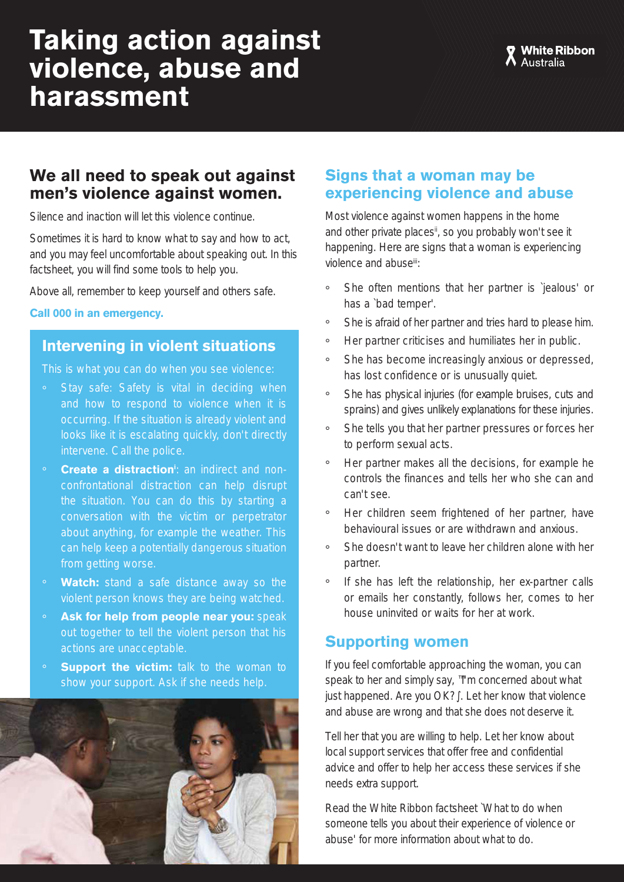# **Taking action against violence, abuse and harassment**

### **We all need to speak out against men's violence against women.**

Silence and inaction will let this violence continue.

Sometimes it is hard to know what to say and how to act, and you may feel uncomfortable about speaking out. In this factsheet, you will find some tools to help you.

Above all, remember to keep yourself and others safe.

#### **Call 000 in an emergency.**

#### **Intervening in violent situations**

This is what you can do when you see violence:

- Stay safe: Safety is vital in deciding when and how to respond to violence when it is occurring. If the situation is already violent and looks like it is escalating quickly, don't directly intervene. Call the police.
- **Create a distraction**<sup>t</sup>: an indirect and nonconfrontational distraction can help disrupt the situation. You can do this by starting a conversation with the victim or perpetrator about anything, for example the weather. This can help keep a potentially dangerous situation from getting worse.
- **Watch:** stand a safe distance away so the violent person knows they are being watched.
- Ask for help from people near you: speak out together to tell the violent person that his actions are unacceptable.
- **Support the victim:** talk to the woman to show your support. Ask if she needs help.



#### **Signs that a woman may be experiencing violence and abuse**

Most violence against women happens in the home and other private places<sup>ii</sup>, so you probably won't see it happening. Here are signs that a woman is experiencing violence and abuseiii:

- ° She often mentions that her partner is `jealous' or has a `bad temper'.
- ° She is afraid of her partner and tries hard to please him.
- ° Her partner criticises and humiliates her in public.
- ° She has become increasingly anxious or depressed, has lost confidence or is unusually quiet.
- ° She has physical injuries (for example bruises, cuts and sprains) and gives unlikely explanations for these injuries.
- ° She tells you that her partner pressures or forces her to perform sexual acts.
- ° Her partner makes all the decisions, for example he controls the finances and tells her who she can and can't see.
- ° Her children seem frightened of her partner, have behavioural issues or are withdrawn and anxious.
- ° She doesn't want to leave her children alone with her partner.
- ° If she has left the relationship, her ex-partner calls or emails her constantly, follows her, comes to her house uninvited or waits for her at work.

#### **Supporting women**

If you feel comfortable approaching the woman, you can speak to her and simply say, ™m concerned about what iust happened. Are you OK?, Let her know that violence and abuse are wrong and that she does not deserve it.

Tell her that you are willing to help. Let her know about local support services that offer free and confidential advice and offer to help her access these services if she needs extra support.

Read the White Ribbon factsheet `What to do when someone tells you about their experience of violence or abuse' for more information about what to do.